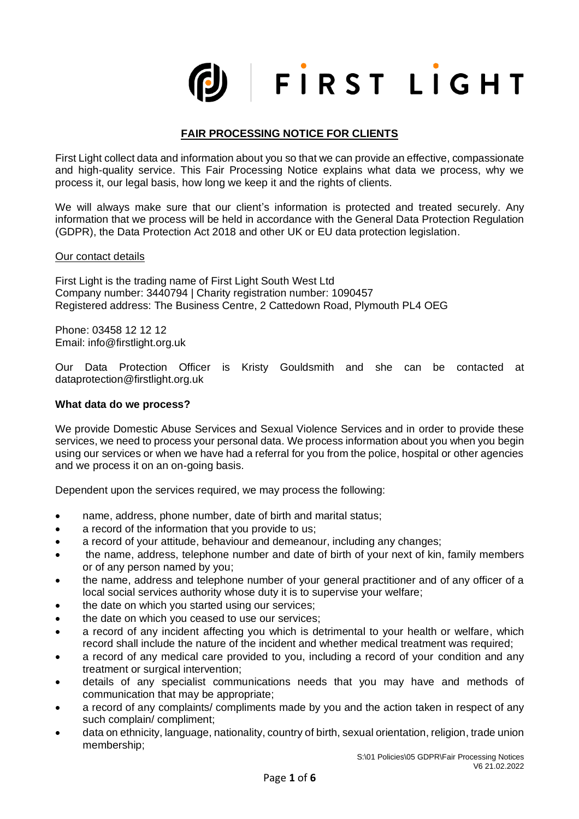# FIRST LIGHT

# **FAIR PROCESSING NOTICE FOR CLIENTS**

First Light collect data and information about you so that we can provide an effective, compassionate and high-quality service. This Fair Processing Notice explains what data we process, why we process it, our legal basis, how long we keep it and the rights of clients.

We will always make sure that our client's information is protected and treated securely. Any information that we process will be held in accordance with the General Data Protection Regulation (GDPR), the Data Protection Act 2018 and other UK or EU data protection legislation.

#### Our contact details

First Light is the trading name of First Light South West Ltd Company number: 3440794 | Charity registration number: 1090457 Registered address: The Business Centre, 2 Cattedown Road, Plymouth PL4 OEG

Phone: 03458 12 12 12 Email: info@firstlight.org.uk

Our Data Protection Officer is Kristy Gouldsmith and she can be contacted at dataprotection@firstlight.org.uk

## **What data do we process?**

We provide Domestic Abuse Services and Sexual Violence Services and in order to provide these services, we need to process your personal data. We process information about you when you begin using our services or when we have had a referral for you from the police, hospital or other agencies and we process it on an on-going basis.

Dependent upon the services required, we may process the following:

- name, address, phone number, date of birth and marital status;
- a record of the information that you provide to us;
- a record of your attitude, behaviour and demeanour, including any changes;
- the name, address, telephone number and date of birth of your next of kin, family members or of any person named by you;
- the name, address and telephone number of your general practitioner and of any officer of a local social services authority whose duty it is to supervise your welfare;
- the date on which you started using our services;
- the date on which you ceased to use our services;
- a record of any incident affecting you which is detrimental to your health or welfare, which record shall include the nature of the incident and whether medical treatment was required;
- a record of any medical care provided to you, including a record of your condition and any treatment or surgical intervention;
- details of any specialist communications needs that you may have and methods of communication that may be appropriate;
- a record of any complaints/ compliments made by you and the action taken in respect of any such complain/ compliment;
- data on ethnicity, language, nationality, country of birth, sexual orientation, religion, trade union membership;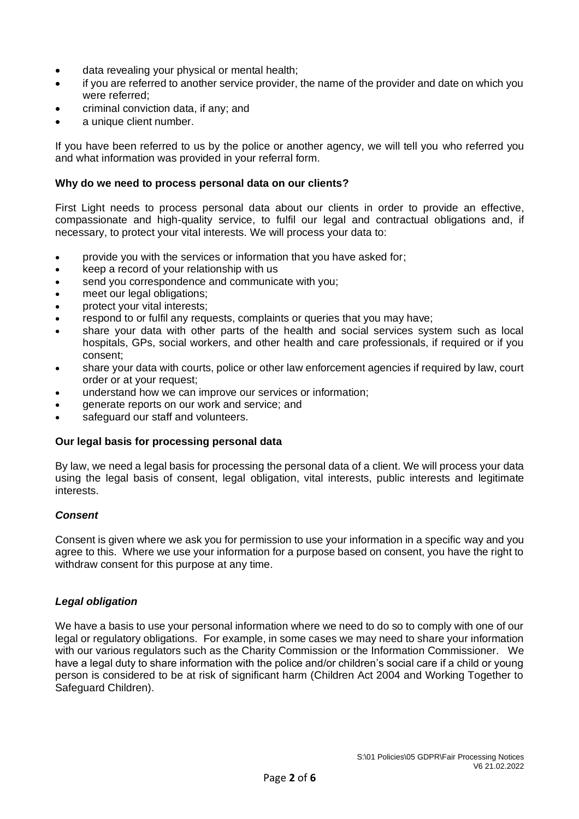- data revealing your physical or mental health;
- if you are referred to another service provider, the name of the provider and date on which you were referred;
- criminal conviction data, if any; and
- a unique client number.

If you have been referred to us by the police or another agency, we will tell you who referred you and what information was provided in your referral form.

## **Why do we need to process personal data on our clients?**

First Light needs to process personal data about our clients in order to provide an effective, compassionate and high-quality service, to fulfil our legal and contractual obligations and, if necessary, to protect your vital interests. We will process your data to:

- provide you with the services or information that you have asked for;
- keep a record of your relationship with us
- send you correspondence and communicate with you;
- meet our legal obligations;
- protect your vital interests;
- respond to or fulfil any requests, complaints or queries that you may have;
- share your data with other parts of the health and social services system such as local hospitals, GPs, social workers, and other health and care professionals, if required or if you consent;
- share your data with courts, police or other law enforcement agencies if required by law, court order or at your request;
- understand how we can improve our services or information;
- generate reports on our work and service; and
- safeguard our staff and volunteers.

## **Our legal basis for processing personal data**

By law, we need a legal basis for processing the personal data of a client. We will process your data using the legal basis of consent, legal obligation, vital interests, public interests and legitimate interests.

## *Consent*

Consent is given where we ask you for permission to use your information in a specific way and you agree to this. Where we use your information for a purpose based on consent, you have the right to withdraw consent for this purpose at any time.

## *Legal obligation*

We have a basis to use your personal information where we need to do so to comply with one of our legal or regulatory obligations. For example, in some cases we may need to share your information with our various regulators such as the Charity Commission or the Information Commissioner. We have a legal duty to share information with the police and/or children's social care if a child or young person is considered to be at risk of significant harm (Children Act 2004 and Working Together to Safeguard Children).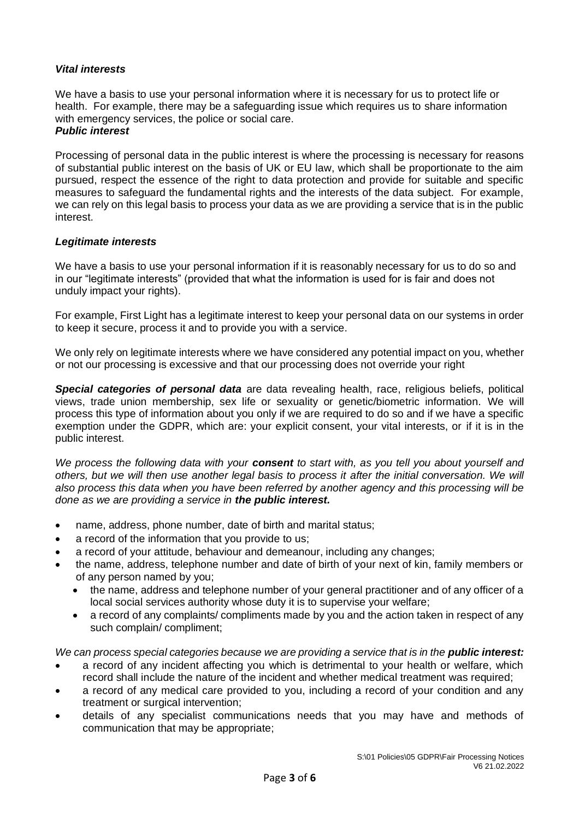# *Vital interests*

We have a basis to use your personal information where it is necessary for us to protect life or health. For example, there may be a safeguarding issue which requires us to share information with emergency services, the police or social care. *Public interest*

## Processing of personal data in the public interest is where the processing is necessary for reasons of substantial public interest on the basis of UK or EU law, which shall be proportionate to the aim pursued, respect the essence of the right to data protection and provide for suitable and specific measures to safeguard the fundamental rights and the interests of the data subject. For example, we can rely on this legal basis to process your data as we are providing a service that is in the public interest.

## *Legitimate interests*

We have a basis to use your personal information if it is reasonably necessary for us to do so and in our "legitimate interests" (provided that what the information is used for is fair and does not unduly impact your rights).

For example, First Light has a legitimate interest to keep your personal data on our systems in order to keep it secure, process it and to provide you with a service.

We only rely on legitimate interests where we have considered any potential impact on you, whether or not our processing is excessive and that our processing does not override your right

*Special categories of personal data* are data revealing health, race, religious beliefs, political views, trade union membership, sex life or sexuality or genetic/biometric information. We will process this type of information about you only if we are required to do so and if we have a specific exemption under the GDPR, which are: your explicit consent, your vital interests, or if it is in the public interest.

*We process the following data with your consent to start with, as you tell you about yourself and others, but we will then use another legal basis to process it after the initial conversation. We will also process this data when you have been referred by another agency and this processing will be done as we are providing a service in the public interest.*

- name, address, phone number, date of birth and marital status;
- a record of the information that you provide to us:
- a record of your attitude, behaviour and demeanour, including any changes;
- the name, address, telephone number and date of birth of your next of kin, family members or of any person named by you;
	- the name, address and telephone number of your general practitioner and of any officer of a local social services authority whose duty it is to supervise your welfare;
	- a record of any complaints/ compliments made by you and the action taken in respect of any such complain/ compliment;

*We can process special categories because we are providing a service that is in the public interest:* 

- a record of any incident affecting you which is detrimental to your health or welfare, which record shall include the nature of the incident and whether medical treatment was required;
- a record of any medical care provided to you, including a record of your condition and any treatment or surgical intervention;
- details of any specialist communications needs that you may have and methods of communication that may be appropriate;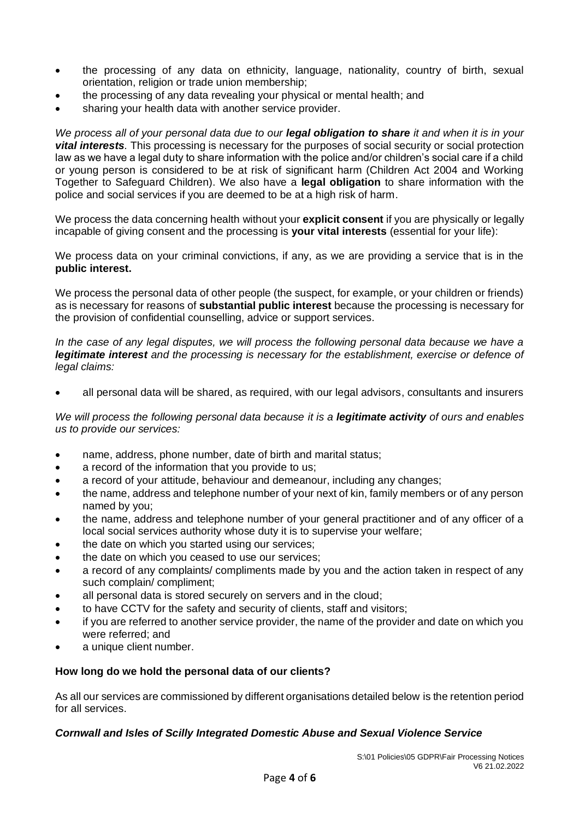- the processing of any data on ethnicity, language, nationality, country of birth, sexual orientation, religion or trade union membership;
- the processing of any data revealing your physical or mental health; and
- sharing your health data with another service provider.

*We process all of your personal data due to our legal obligation to share it and when it is in your vital interests.* This processing is necessary for the purposes of social security or social protection law as we have a legal duty to share information with the police and/or children's social care if a child or young person is considered to be at risk of significant harm (Children Act 2004 and Working Together to Safeguard Children). We also have a **legal obligation** to share information with the police and social services if you are deemed to be at a high risk of harm.

We process the data concerning health without your **explicit consent** if you are physically or legally incapable of giving consent and the processing is **your vital interests** (essential for your life):

We process data on your criminal convictions, if any, as we are providing a service that is in the **public interest.**

We process the personal data of other people (the suspect, for example, or your children or friends) as is necessary for reasons of **substantial public interest** because the processing is necessary for the provision of confidential counselling, advice or support services.

*In the case of any legal disputes, we will process the following personal data because we have a legitimate interest and the processing is necessary for the establishment, exercise or defence of legal claims:*

• all personal data will be shared, as required, with our legal advisors, consultants and insurers

*We will process the following personal data because it is a legitimate activity of ours and enables us to provide our services:*

- name, address, phone number, date of birth and marital status;
- a record of the information that you provide to us;
- a record of your attitude, behaviour and demeanour, including any changes;
- the name, address and telephone number of your next of kin, family members or of any person named by you;
- the name, address and telephone number of your general practitioner and of any officer of a local social services authority whose duty it is to supervise your welfare;
- the date on which you started using our services;
- the date on which you ceased to use our services;
- a record of any complaints/ compliments made by you and the action taken in respect of any such complain/ compliment;
- all personal data is stored securely on servers and in the cloud;
- to have CCTV for the safety and security of clients, staff and visitors;
- if you are referred to another service provider, the name of the provider and date on which you were referred; and
- a unique client number.

#### **How long do we hold the personal data of our clients?**

As all our services are commissioned by different organisations detailed below is the retention period for all services.

## *Cornwall and Isles of Scilly Integrated Domestic Abuse and Sexual Violence Service*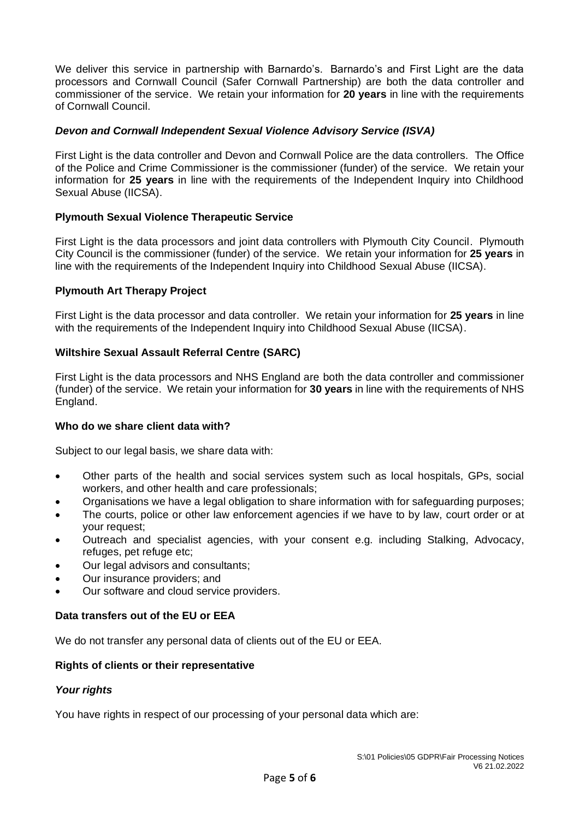We deliver this service in partnership with Barnardo's. Barnardo's and First Light are the data processors and Cornwall Council (Safer Cornwall Partnership) are both the data controller and commissioner of the service. We retain your information for **20 years** in line with the requirements of Cornwall Council.

## *Devon and Cornwall Independent Sexual Violence Advisory Service (ISVA)*

First Light is the data controller and Devon and Cornwall Police are the data controllers. The Office of the Police and Crime Commissioner is the commissioner (funder) of the service. We retain your information for **25 years** in line with the requirements of the Independent Inquiry into Childhood Sexual Abuse (IICSA).

# **Plymouth Sexual Violence Therapeutic Service**

First Light is the data processors and joint data controllers with Plymouth City Council. Plymouth City Council is the commissioner (funder) of the service. We retain your information for **25 years** in line with the requirements of the Independent Inquiry into Childhood Sexual Abuse (IICSA).

# **Plymouth Art Therapy Project**

First Light is the data processor and data controller. We retain your information for **25 years** in line with the requirements of the Independent Inquiry into Childhood Sexual Abuse (IICSA).

# **Wiltshire Sexual Assault Referral Centre (SARC)**

First Light is the data processors and NHS England are both the data controller and commissioner (funder) of the service. We retain your information for **30 years** in line with the requirements of NHS England.

## **Who do we share client data with?**

Subject to our legal basis, we share data with:

- Other parts of the health and social services system such as local hospitals, GPs, social workers, and other health and care professionals;
- Organisations we have a legal obligation to share information with for safeguarding purposes;
- The courts, police or other law enforcement agencies if we have to by law, court order or at your request;
- Outreach and specialist agencies, with your consent e.g. including Stalking, Advocacy, refuges, pet refuge etc;
- Our legal advisors and consultants;
- Our insurance providers; and
- Our software and cloud service providers.

## **Data transfers out of the EU or EEA**

We do not transfer any personal data of clients out of the EU or EEA.

#### **Rights of clients or their representative**

## *Your rights*

You have rights in respect of our processing of your personal data which are: